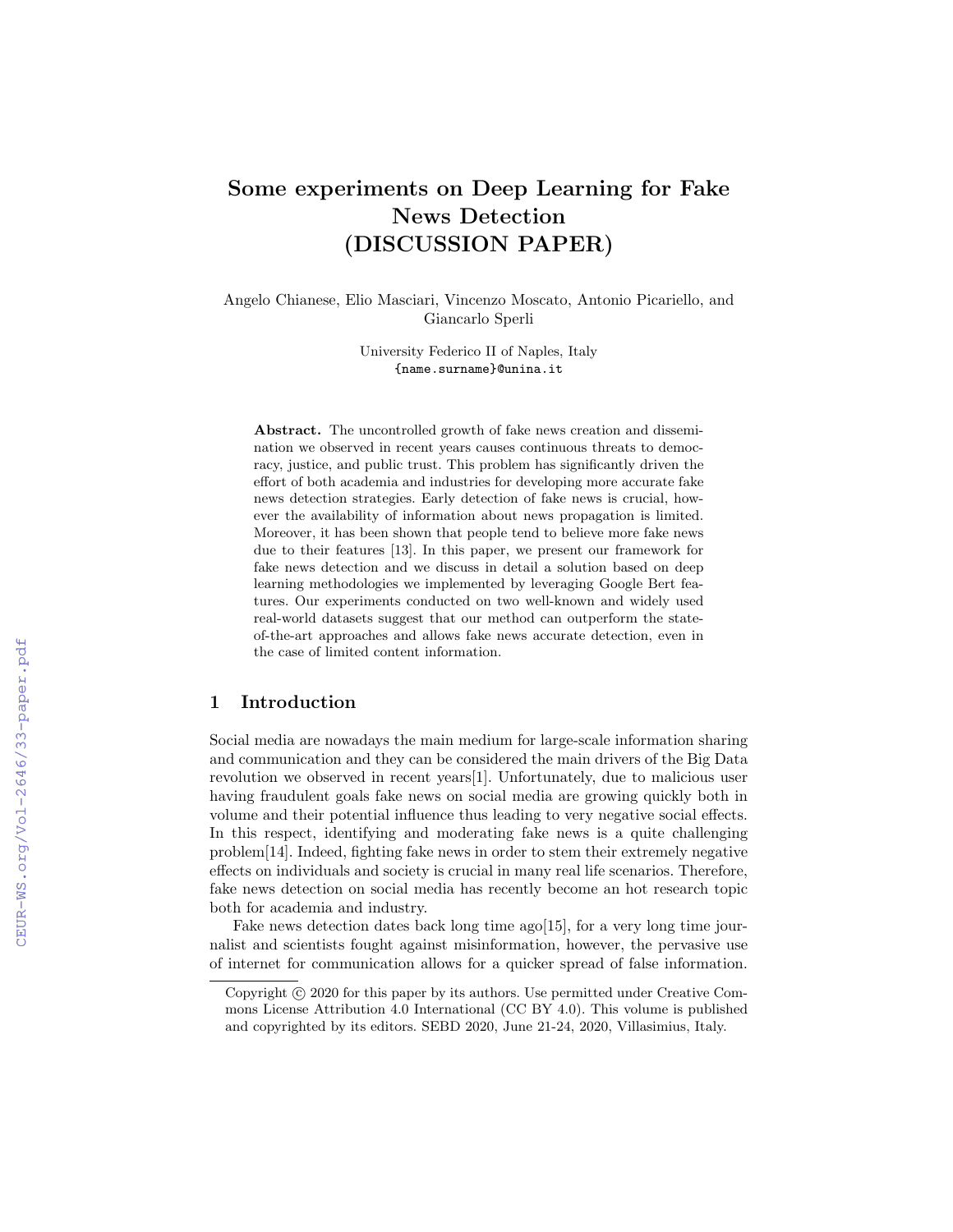# Some experiments on Deep Learning for Fake News Detection (DISCUSSION PAPER)

Angelo Chianese, Elio Masciari, Vincenzo Moscato, Antonio Picariello, and Giancarlo Sperli

> University Federico II of Naples, Italy {name.surname}@unina.it

Abstract. The uncontrolled growth of fake news creation and dissemination we observed in recent years causes continuous threats to democracy, justice, and public trust. This problem has significantly driven the effort of both academia and industries for developing more accurate fake news detection strategies. Early detection of fake news is crucial, however the availability of information about news propagation is limited. Moreover, it has been shown that people tend to believe more fake news due to their features [13]. In this paper, we present our framework for fake news detection and we discuss in detail a solution based on deep learning methodologies we implemented by leveraging Google Bert features. Our experiments conducted on two well-known and widely used real-world datasets suggest that our method can outperform the stateof-the-art approaches and allows fake news accurate detection, even in the case of limited content information.

# 1 Introduction

Social media are nowadays the main medium for large-scale information sharing and communication and they can be considered the main drivers of the Big Data revolution we observed in recent years[1]. Unfortunately, due to malicious user having fraudulent goals fake news on social media are growing quickly both in volume and their potential influence thus leading to very negative social effects. In this respect, identifying and moderating fake news is a quite challenging problem[14]. Indeed, fighting fake news in order to stem their extremely negative effects on individuals and society is crucial in many real life scenarios. Therefore, fake news detection on social media has recently become an hot research topic both for academia and industry.

Fake news detection dates back long time ago [15], for a very long time journalist and scientists fought against misinformation, however, the pervasive use of internet for communication allows for a quicker spread of false information.

Copyright  $\odot$  2020 for this paper by its authors. Use permitted under Creative Commons License Attribution 4.0 International (CC BY 4.0). This volume is published and copyrighted by its editors. SEBD 2020, June 21-24, 2020, Villasimius, Italy.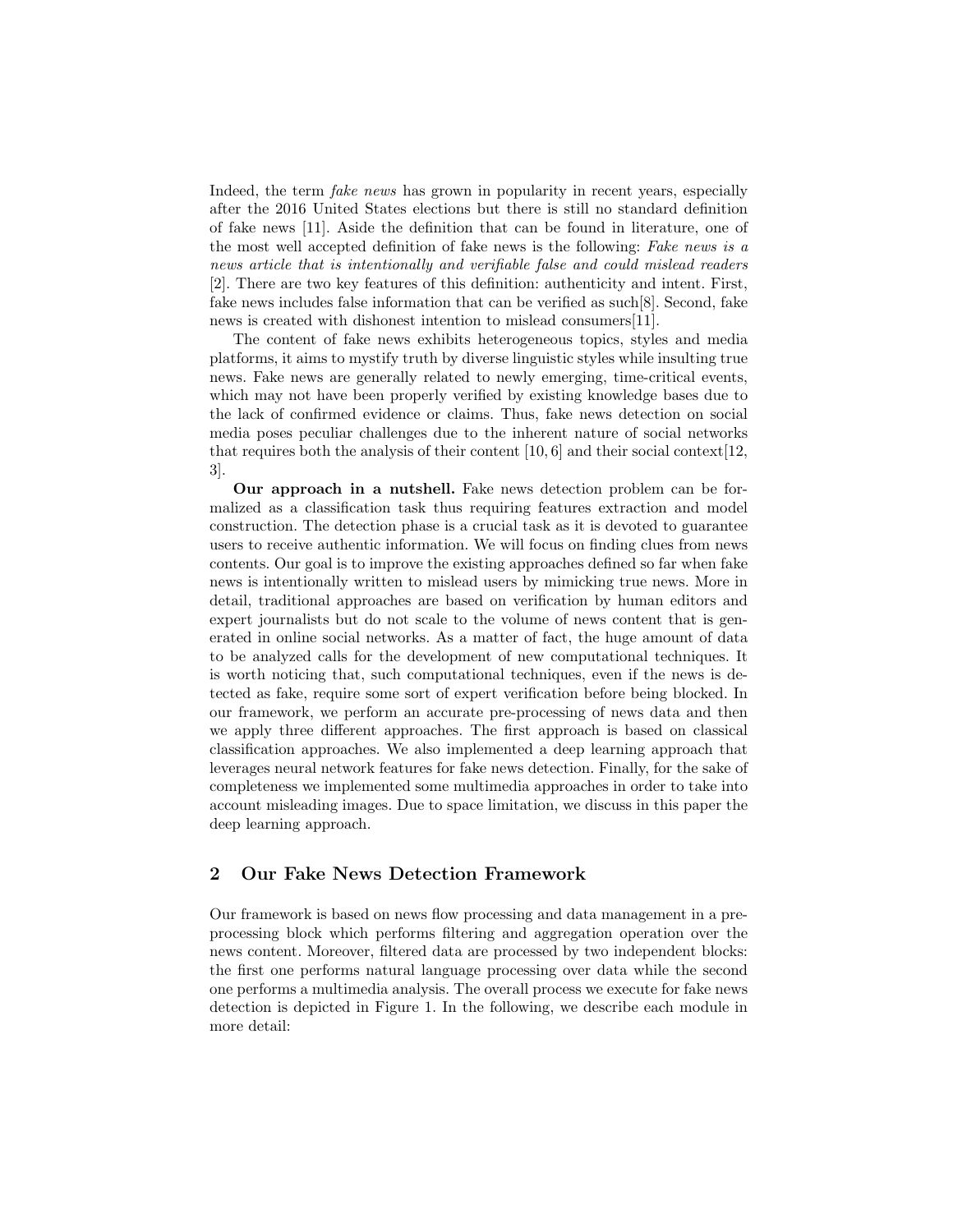Indeed, the term *fake news* has grown in popularity in recent years, especially after the 2016 United States elections but there is still no standard definition of fake news [11]. Aside the definition that can be found in literature, one of the most well accepted definition of fake news is the following: Fake news is a news article that is intentionally and verifiable false and could mislead readers [2]. There are two key features of this definition: authenticity and intent. First, fake news includes false information that can be verified as such[8]. Second, fake news is created with dishonest intention to mislead consumers[11].

The content of fake news exhibits heterogeneous topics, styles and media platforms, it aims to mystify truth by diverse linguistic styles while insulting true news. Fake news are generally related to newly emerging, time-critical events, which may not have been properly verified by existing knowledge bases due to the lack of confirmed evidence or claims. Thus, fake news detection on social media poses peculiar challenges due to the inherent nature of social networks that requires both the analysis of their content  $[10, 6]$  and their social context  $[12]$ , 3].

Our approach in a nutshell. Fake news detection problem can be formalized as a classification task thus requiring features extraction and model construction. The detection phase is a crucial task as it is devoted to guarantee users to receive authentic information. We will focus on finding clues from news contents. Our goal is to improve the existing approaches defined so far when fake news is intentionally written to mislead users by mimicking true news. More in detail, traditional approaches are based on verification by human editors and expert journalists but do not scale to the volume of news content that is generated in online social networks. As a matter of fact, the huge amount of data to be analyzed calls for the development of new computational techniques. It is worth noticing that, such computational techniques, even if the news is detected as fake, require some sort of expert verification before being blocked. In our framework, we perform an accurate pre-processing of news data and then we apply three different approaches. The first approach is based on classical classification approaches. We also implemented a deep learning approach that leverages neural network features for fake news detection. Finally, for the sake of completeness we implemented some multimedia approaches in order to take into account misleading images. Due to space limitation, we discuss in this paper the deep learning approach.

# 2 Our Fake News Detection Framework

Our framework is based on news flow processing and data management in a preprocessing block which performs filtering and aggregation operation over the news content. Moreover, filtered data are processed by two independent blocks: the first one performs natural language processing over data while the second one performs a multimedia analysis. The overall process we execute for fake news detection is depicted in Figure 1. In the following, we describe each module in more detail: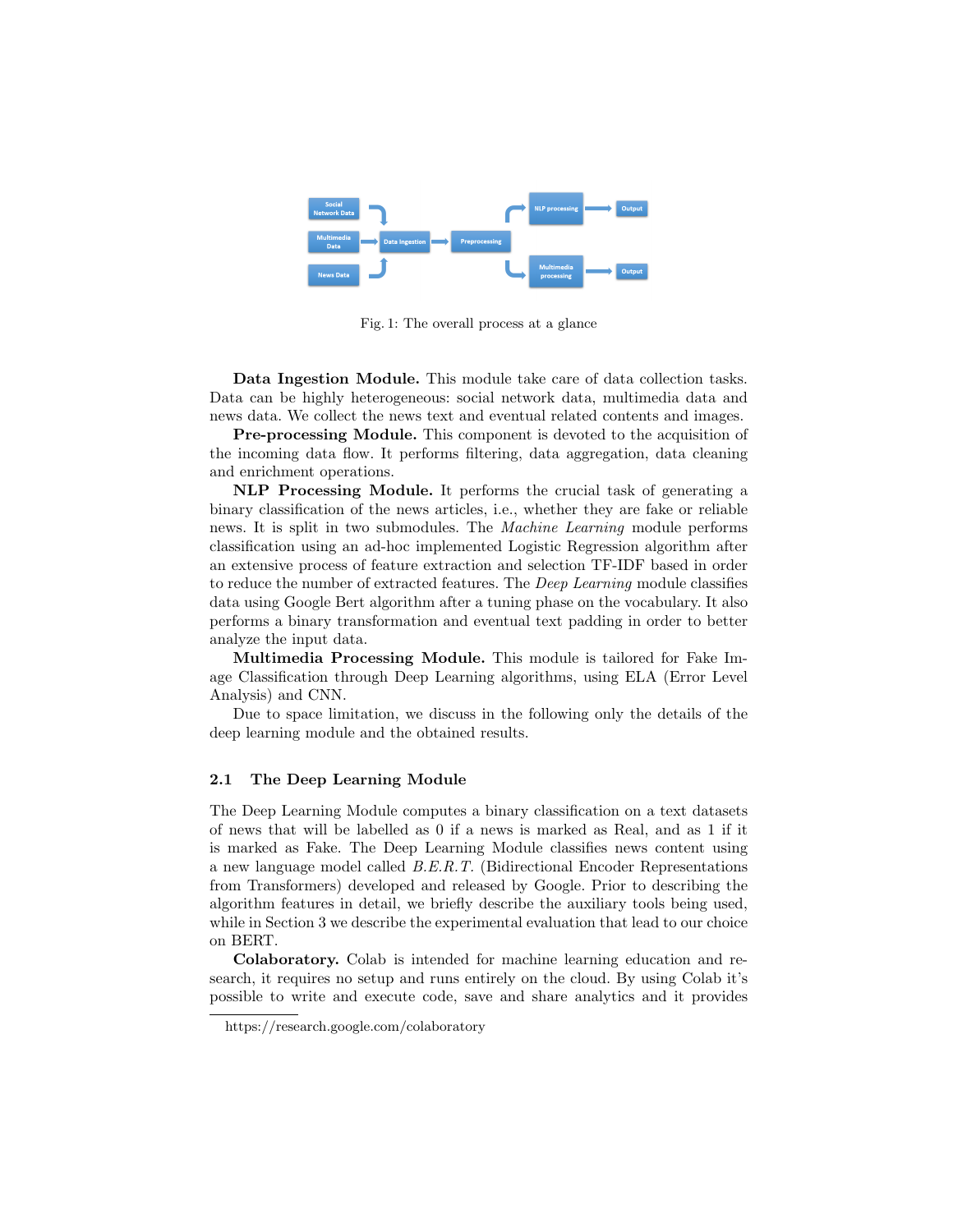

Fig. 1: The overall process at a glance

Data Ingestion Module. This module take care of data collection tasks. Data can be highly heterogeneous: social network data, multimedia data and news data. We collect the news text and eventual related contents and images.

Pre-processing Module. This component is devoted to the acquisition of the incoming data flow. It performs filtering, data aggregation, data cleaning and enrichment operations.

NLP Processing Module. It performs the crucial task of generating a binary classification of the news articles, i.e., whether they are fake or reliable news. It is split in two submodules. The Machine Learning module performs classification using an ad-hoc implemented Logistic Regression algorithm after an extensive process of feature extraction and selection TF-IDF based in order to reduce the number of extracted features. The Deep Learning module classifies data using Google Bert algorithm after a tuning phase on the vocabulary. It also performs a binary transformation and eventual text padding in order to better analyze the input data.

Multimedia Processing Module. This module is tailored for Fake Image Classification through Deep Learning algorithms, using ELA (Error Level Analysis) and CNN.

Due to space limitation, we discuss in the following only the details of the deep learning module and the obtained results.

### 2.1 The Deep Learning Module

The Deep Learning Module computes a binary classification on a text datasets of news that will be labelled as 0 if a news is marked as Real, and as 1 if it is marked as Fake. The Deep Learning Module classifies news content using a new language model called B.E.R.T. (Bidirectional Encoder Representations from Transformers) developed and released by Google. Prior to describing the algorithm features in detail, we briefly describe the auxiliary tools being used, while in Section 3 we describe the experimental evaluation that lead to our choice on BERT.

Colaboratory. Colab is intended for machine learning education and research, it requires no setup and runs entirely on the cloud. By using Colab it's possible to write and execute code, save and share analytics and it provides

https://research.google.com/colaboratory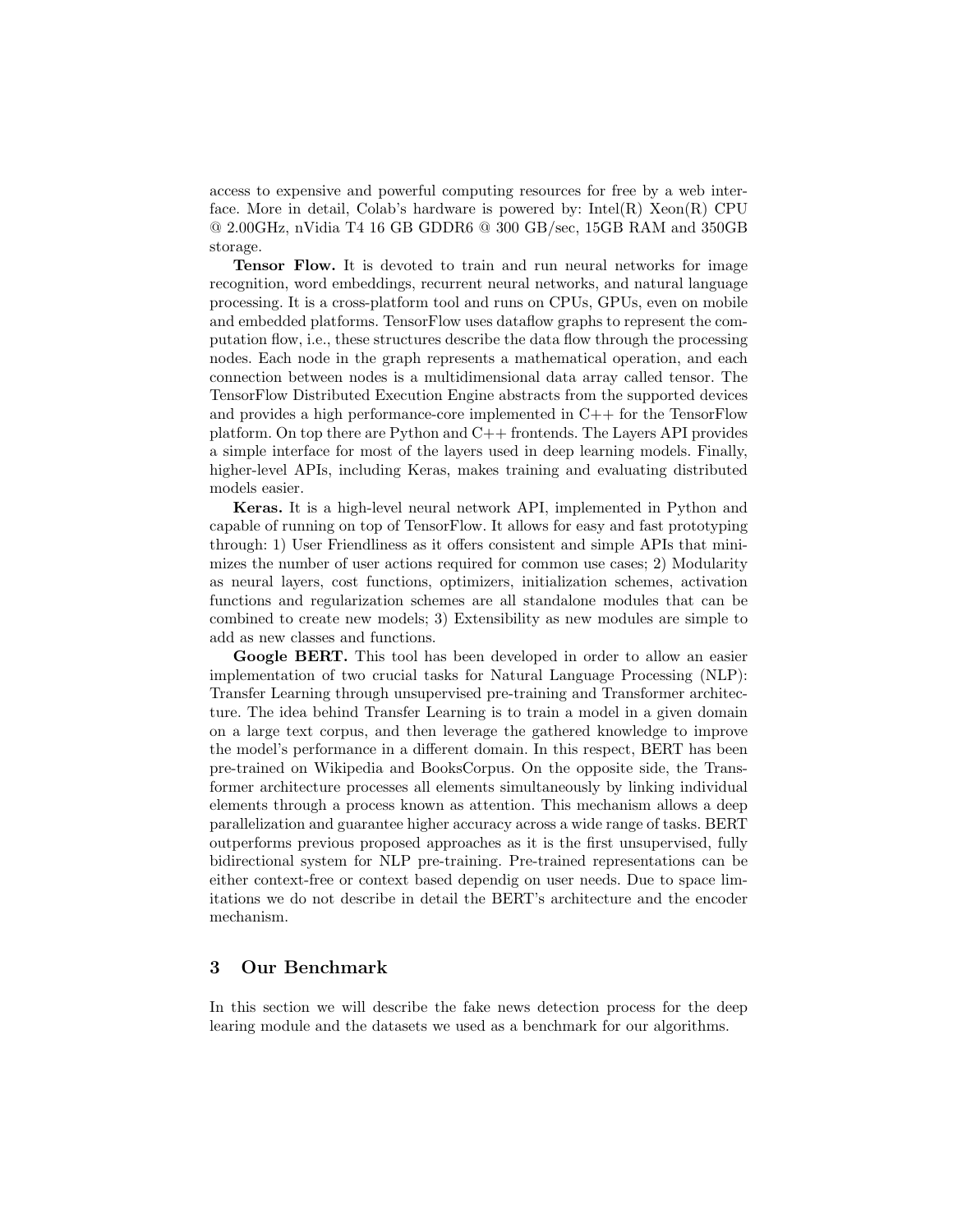access to expensive and powerful computing resources for free by a web interface. More in detail, Colab's hardware is powered by:  $Intel(R)$  Xeon $(R)$  CPU @ 2.00GHz, nVidia T4 16 GB GDDR6 @ 300 GB/sec, 15GB RAM and 350GB storage.

Tensor Flow. It is devoted to train and run neural networks for image recognition, word embeddings, recurrent neural networks, and natural language processing. It is a cross-platform tool and runs on CPUs, GPUs, even on mobile and embedded platforms. TensorFlow uses dataflow graphs to represent the computation flow, i.e., these structures describe the data flow through the processing nodes. Each node in the graph represents a mathematical operation, and each connection between nodes is a multidimensional data array called tensor. The TensorFlow Distributed Execution Engine abstracts from the supported devices and provides a high performance-core implemented in C++ for the TensorFlow platform. On top there are Python and C++ frontends. The Layers API provides a simple interface for most of the layers used in deep learning models. Finally, higher-level APIs, including Keras, makes training and evaluating distributed models easier.

Keras. It is a high-level neural network API, implemented in Python and capable of running on top of TensorFlow. It allows for easy and fast prototyping through: 1) User Friendliness as it offers consistent and simple APIs that minimizes the number of user actions required for common use cases; 2) Modularity as neural layers, cost functions, optimizers, initialization schemes, activation functions and regularization schemes are all standalone modules that can be combined to create new models; 3) Extensibility as new modules are simple to add as new classes and functions.

Google BERT. This tool has been developed in order to allow an easier implementation of two crucial tasks for Natural Language Processing (NLP): Transfer Learning through unsupervised pre-training and Transformer architecture. The idea behind Transfer Learning is to train a model in a given domain on a large text corpus, and then leverage the gathered knowledge to improve the model's performance in a different domain. In this respect, BERT has been pre-trained on Wikipedia and BooksCorpus. On the opposite side, the Transformer architecture processes all elements simultaneously by linking individual elements through a process known as attention. This mechanism allows a deep parallelization and guarantee higher accuracy across a wide range of tasks. BERT outperforms previous proposed approaches as it is the first unsupervised, fully bidirectional system for NLP pre-training. Pre-trained representations can be either context-free or context based dependig on user needs. Due to space limitations we do not describe in detail the BERT's architecture and the encoder mechanism.

# 3 Our Benchmark

In this section we will describe the fake news detection process for the deep learing module and the datasets we used as a benchmark for our algorithms.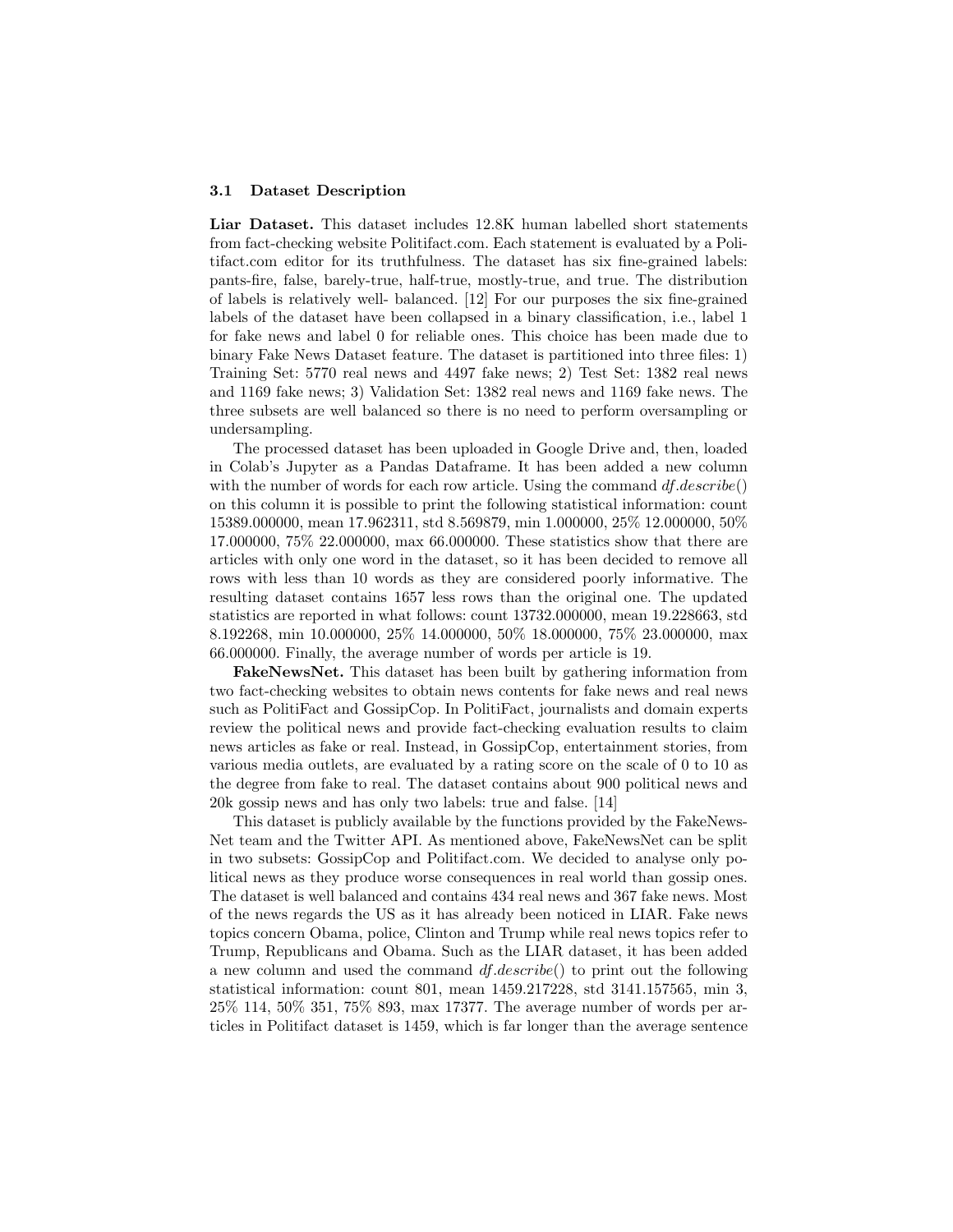#### 3.1 Dataset Description

Liar Dataset. This dataset includes 12.8K human labelled short statements from fact-checking website Politifact.com. Each statement is evaluated by a Politifact.com editor for its truthfulness. The dataset has six fine-grained labels: pants-fire, false, barely-true, half-true, mostly-true, and true. The distribution of labels is relatively well- balanced. [12] For our purposes the six fine-grained labels of the dataset have been collapsed in a binary classification, i.e., label 1 for fake news and label 0 for reliable ones. This choice has been made due to binary Fake News Dataset feature. The dataset is partitioned into three files: 1) Training Set: 5770 real news and 4497 fake news; 2) Test Set: 1382 real news and 1169 fake news; 3) Validation Set: 1382 real news and 1169 fake news. The three subsets are well balanced so there is no need to perform oversampling or undersampling.

The processed dataset has been uploaded in Google Drive and, then, loaded in Colab's Jupyter as a Pandas Dataframe. It has been added a new column with the number of words for each row article. Using the command  $df.describe()$ on this column it is possible to print the following statistical information: count 15389.000000, mean 17.962311, std 8.569879, min 1.000000, 25% 12.000000, 50% 17.000000, 75% 22.000000, max 66.000000. These statistics show that there are articles with only one word in the dataset, so it has been decided to remove all rows with less than 10 words as they are considered poorly informative. The resulting dataset contains 1657 less rows than the original one. The updated statistics are reported in what follows: count 13732.000000, mean 19.228663, std 8.192268, min 10.000000, 25% 14.000000, 50% 18.000000, 75% 23.000000, max 66.000000. Finally, the average number of words per article is 19.

FakeNewsNet. This dataset has been built by gathering information from two fact-checking websites to obtain news contents for fake news and real news such as PolitiFact and GossipCop. In PolitiFact, journalists and domain experts review the political news and provide fact-checking evaluation results to claim news articles as fake or real. Instead, in GossipCop, entertainment stories, from various media outlets, are evaluated by a rating score on the scale of 0 to 10 as the degree from fake to real. The dataset contains about 900 political news and 20k gossip news and has only two labels: true and false. [14]

This dataset is publicly available by the functions provided by the FakeNews-Net team and the Twitter API. As mentioned above, FakeNewsNet can be split in two subsets: GossipCop and Politifact.com. We decided to analyse only political news as they produce worse consequences in real world than gossip ones. The dataset is well balanced and contains 434 real news and 367 fake news. Most of the news regards the US as it has already been noticed in LIAR. Fake news topics concern Obama, police, Clinton and Trump while real news topics refer to Trump, Republicans and Obama. Such as the LIAR dataset, it has been added a new column and used the command df.describe() to print out the following statistical information: count 801, mean 1459.217228, std 3141.157565, min 3, 25% 114, 50% 351, 75% 893, max 17377. The average number of words per articles in Politifact dataset is 1459, which is far longer than the average sentence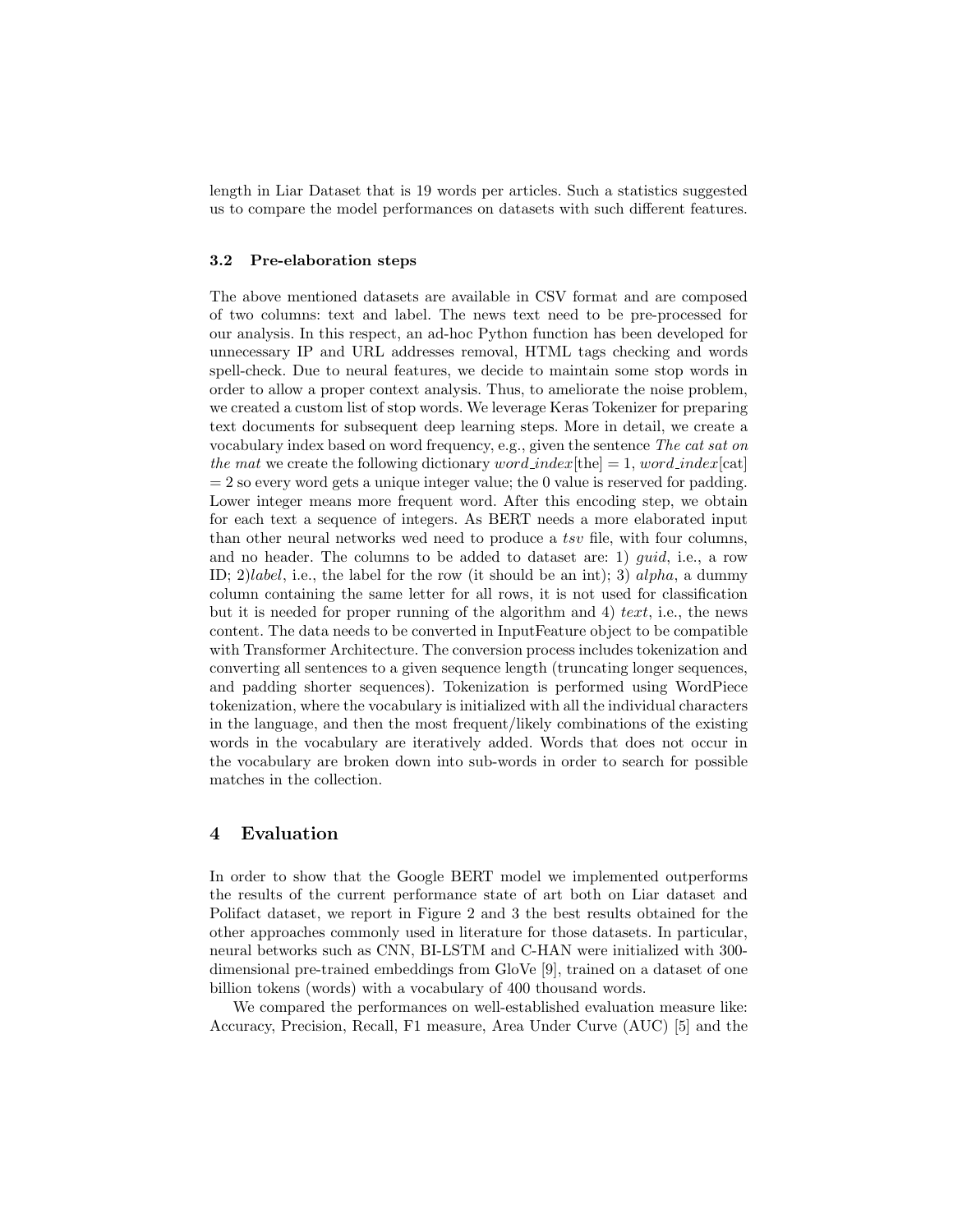length in Liar Dataset that is 19 words per articles. Such a statistics suggested us to compare the model performances on datasets with such different features.

#### 3.2 Pre-elaboration steps

The above mentioned datasets are available in CSV format and are composed of two columns: text and label. The news text need to be pre-processed for our analysis. In this respect, an ad-hoc Python function has been developed for unnecessary IP and URL addresses removal, HTML tags checking and words spell-check. Due to neural features, we decide to maintain some stop words in order to allow a proper context analysis. Thus, to ameliorate the noise problem, we created a custom list of stop words. We leverage Keras Tokenizer for preparing text documents for subsequent deep learning steps. More in detail, we create a vocabulary index based on word frequency, e.g., given the sentence The cat sat on the mat we create the following dictionary  $word\_index[\text{the}] = 1$ ,  $word\_index[\text{cat}]$  $= 2$  so every word gets a unique integer value; the 0 value is reserved for padding. Lower integer means more frequent word. After this encoding step, we obtain for each text a sequence of integers. As BERT needs a more elaborated input than other neural networks wed need to produce a tsv file, with four columns, and no header. The columns to be added to dataset are: 1) guid, i.e., a row ID; 2)*label*, i.e., the label for the row (it should be an int); 3) *alpha*, a dummy column containing the same letter for all rows, it is not used for classification but it is needed for proper running of the algorithm and 4) text, i.e., the news content. The data needs to be converted in InputFeature object to be compatible with Transformer Architecture. The conversion process includes tokenization and converting all sentences to a given sequence length (truncating longer sequences, and padding shorter sequences). Tokenization is performed using WordPiece tokenization, where the vocabulary is initialized with all the individual characters in the language, and then the most frequent/likely combinations of the existing words in the vocabulary are iteratively added. Words that does not occur in the vocabulary are broken down into sub-words in order to search for possible matches in the collection.

# 4 Evaluation

In order to show that the Google BERT model we implemented outperforms the results of the current performance state of art both on Liar dataset and Polifact dataset, we report in Figure 2 and 3 the best results obtained for the other approaches commonly used in literature for those datasets. In particular, neural betworks such as CNN, BI-LSTM and C-HAN were initialized with 300 dimensional pre-trained embeddings from GloVe [9], trained on a dataset of one billion tokens (words) with a vocabulary of 400 thousand words.

We compared the performances on well-established evaluation measure like: Accuracy, Precision, Recall, F1 measure, Area Under Curve (AUC) [5] and the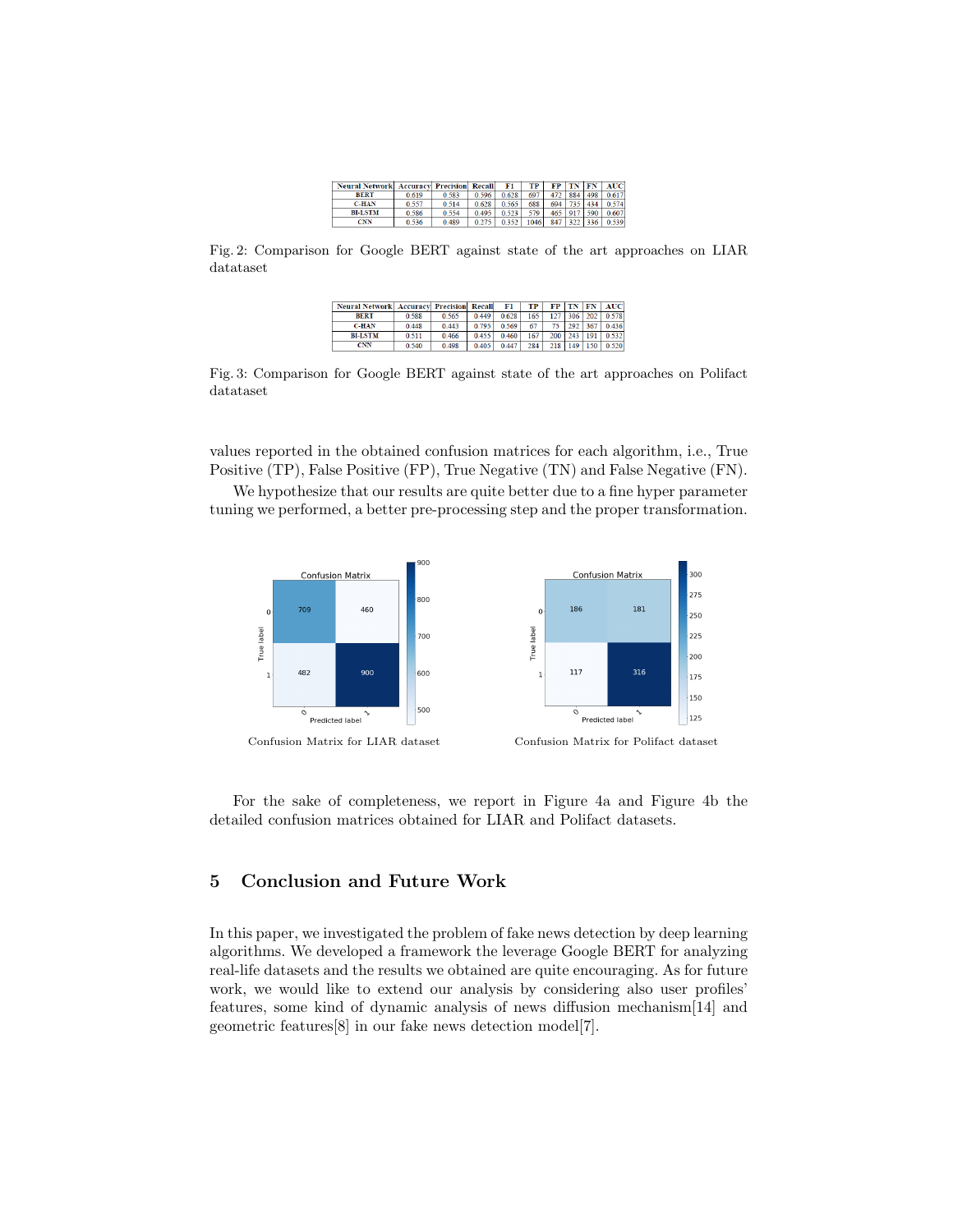| <b>Neural Network Accuracy Precision Recall F1    </b> |       |       |       |                               | TP : |  | FP TN FN AUC          |
|--------------------------------------------------------|-------|-------|-------|-------------------------------|------|--|-----------------------|
| <b>BERT</b>                                            | 0.619 | 0.583 |       | $0.596$ 0.628                 |      |  | 697 472 884 498 0.617 |
| <b>C-HAN</b>                                           | 0.557 | 0.514 |       | $0.628$ 0.565                 | 688  |  | 694 735 434 0.574     |
| <b>BI-LSTM</b>                                         | 0.586 | 0.554 | 0.495 | $0.523$ 579 465 917 590 0.607 |      |  |                       |
| <b>CNN</b>                                             | 0.536 | 0.489 |       | $0.275$ 0.352                 | 1046 |  | 847 322 336 0.539     |

Fig. 2: Comparison for Google BERT against state of the art approaches on LIAR datataset

| <b>Neural Network   Accuracy Precision   Recall  </b> |       |       |       | F1.   | TP I |     |                |     | FP TN FN AUC      |
|-------------------------------------------------------|-------|-------|-------|-------|------|-----|----------------|-----|-------------------|
| <b>BERT</b>                                           | 0.588 | 0.565 | 0.449 | 0.628 | 165  |     |                |     | 127 306 202 0.578 |
| <b>C-HAN</b>                                          | 0.448 | 0.443 | 0.795 | 0.569 | 67   |     | 292            | 367 | 0436              |
| <b>BI-LSTM</b>                                        | 0.511 | 0.466 | 0.455 | 0.460 | 167  |     | $200 \mid 243$ | 191 | 0.532             |
| <b>CNN</b>                                            | 0.540 | 0.498 | 0.405 | 0.447 | 284  | 218 | 149            |     | 150 0.520         |

Fig. 3: Comparison for Google BERT against state of the art approaches on Polifact datataset

values reported in the obtained confusion matrices for each algorithm, i.e., True Positive (TP), False Positive (FP), True Negative (TN) and False Negative (FN).

We hypothesize that our results are quite better due to a fine hyper parameter tuning we performed, a better pre-processing step and the proper transformation.



For the sake of completeness, we report in Figure 4a and Figure 4b the detailed confusion matrices obtained for LIAR and Polifact datasets.

# 5 Conclusion and Future Work

In this paper, we investigated the problem of fake news detection by deep learning algorithms. We developed a framework the leverage Google BERT for analyzing real-life datasets and the results we obtained are quite encouraging. As for future work, we would like to extend our analysis by considering also user profiles' features, some kind of dynamic analysis of news diffusion mechanism[14] and geometric features[8] in our fake news detection model[7].